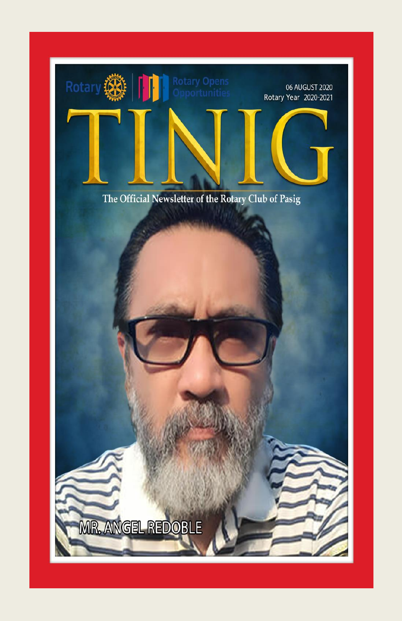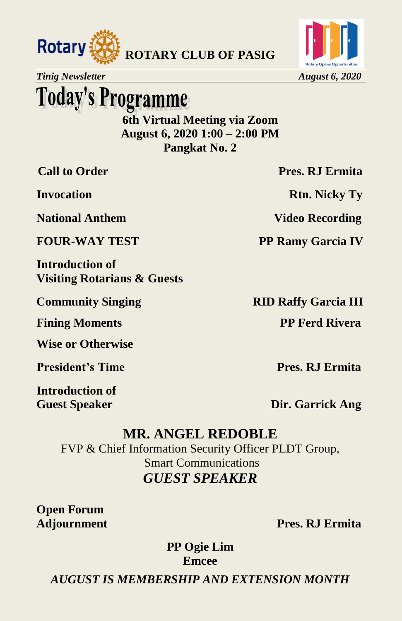



**Tinig Newsletter** August 6, 2020

**Today's Programme** 

**6th Virtual Meeting via Zoom August 6, 2020 1:00 – 2:00 PM Pangkat No. 2**

**National Anthem Video Recording** 

**Introduction of Visiting Rotarians & Guests** 

**Fining Moments PP Ferd Rivera** 

**Wise or Otherwise** 

**President's Time Pres. RJ Ermita** 

**Introduction of**

**Call to Order Pres. RJ Ermita** 

**Invocation Rtn. Nicky Ty** 

**FOUR-WAY TEST PP Ramy Garcia IV** 

**Community Singing RID Raffy Garcia III** 

**Guest Speaker Dir. Garrick Ang** 

## **MR. ANGEL REDOBLE**

FVP & Chief Information Security Officer PLDT Group, Smart Communications *GUEST SPEAKER*

**Open Forum**

**Adjournment Pres. RJ Ermita**

**PP Ogie Lim Emcee**

*AUGUST IS MEMBERSHIP AND EXTENSION MONTH*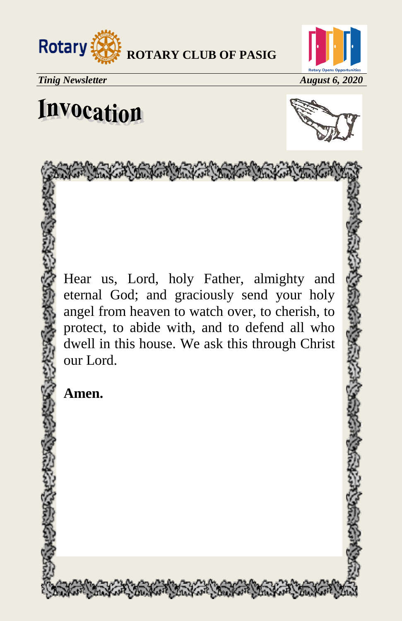

Com Link of Minkows and Company and Company



# **Invocation**



Hear us, Lord, holy Father, almighty and eternal God; and graciously send your holy angel from heaven to watch over, to cherish, to protect, to abide with, and to defend all who dwell in this house. We ask this through Christ our Lord.

**Amen.**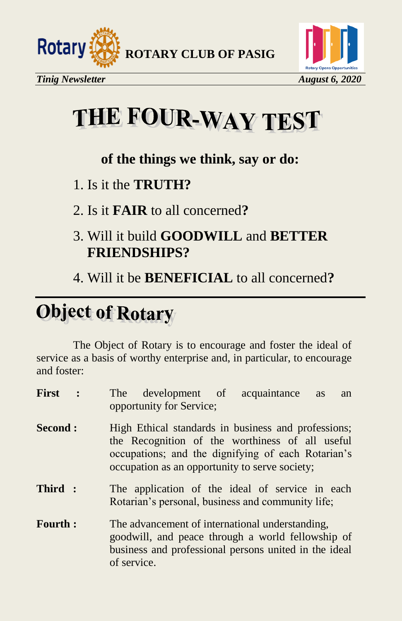



# **of the things we think, say or do:**

- 1. Is it the **TRUTH?**
- 2. Is it **FAIR** to all concerned**?**
- 3. Will it build **GOODWILL** and **BETTER FRIENDSHIPS?**
- 4. Will it be **BENEFICIAL** to all concerned**?**

# **Object of Rotary**

The Object of Rotary is to encourage and foster the ideal of service as a basis of worthy enterprise and, in particular, to encourage and foster:

| First          | development of acquaintance<br>The The<br><b>as</b><br>an<br>opportunity for Service;                                                                                                                          |
|----------------|----------------------------------------------------------------------------------------------------------------------------------------------------------------------------------------------------------------|
| <b>Second:</b> | High Ethical standards in business and professions;<br>the Recognition of the worthiness of all useful<br>occupations; and the dignifying of each Rotarian's<br>occupation as an opportunity to serve society; |
| Third:         | The application of the ideal of service in each<br>Rotarian's personal, business and community life;                                                                                                           |
| <b>Fourth:</b> | The advancement of international understanding,<br>goodwill, and peace through a world fellowship of<br>business and professional persons united in the ideal<br>of service.                                   |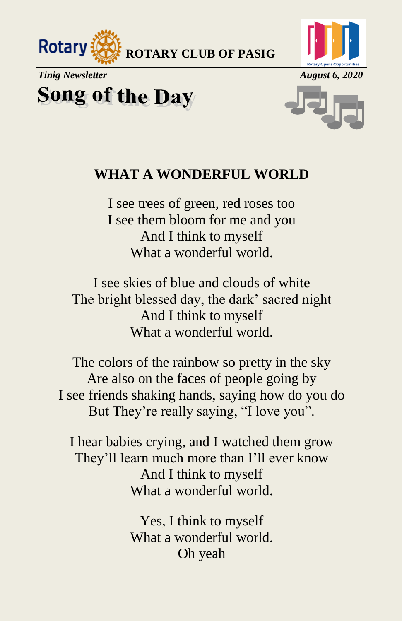







# **WHAT A WONDERFUL WORLD**

I see trees of green, red roses too I see them bloom for me and you And I think to myself What a wonderful world.

I see skies of blue and clouds of white The bright blessed day, the dark' sacred night And I think to myself What a wonderful world.

The colors of the rainbow so pretty in the sky Are also on the faces of people going by I see friends shaking hands, saying how do you do But They're really saying, "I love you".

I hear babies crying, and I watched them grow They'll learn much more than I'll ever know And I think to myself What a wonderful world.

> Yes, I think to myself What a wonderful world. Oh yeah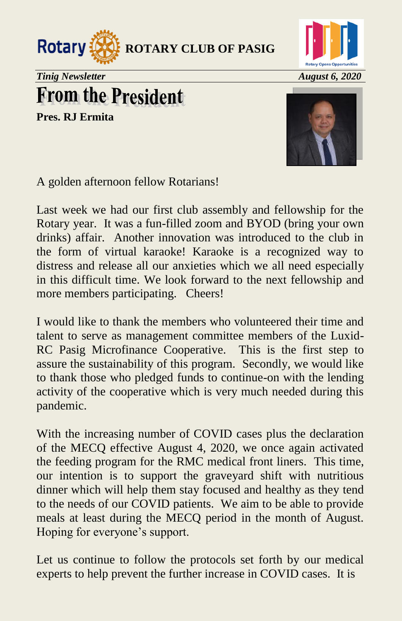



# **From the President**

**Pres. RJ Ermita**



A golden afternoon fellow Rotarians!

Last week we had our first club assembly and fellowship for the Rotary year. It was a fun-filled zoom and BYOD (bring your own drinks) affair. Another innovation was introduced to the club in the form of virtual karaoke! Karaoke is a recognized way to distress and release all our anxieties which we all need especially in this difficult time. We look forward to the next fellowship and more members participating. Cheers!

I would like to thank the members who volunteered their time and talent to serve as management committee members of the Luxid-RC Pasig Microfinance Cooperative. This is the first step to assure the sustainability of this program. Secondly, we would like to thank those who pledged funds to continue-on with the lending activity of the cooperative which is very much needed during this pandemic.

With the increasing number of COVID cases plus the declaration of the MECQ effective August 4, 2020, we once again activated the feeding program for the RMC medical front liners. This time, our intention is to support the graveyard shift with nutritious dinner which will help them stay focused and healthy as they tend to the needs of our COVID patients. We aim to be able to provide meals at least during the MECQ period in the month of August. Hoping for everyone's support.

Let us continue to follow the protocols set forth by our medical experts to help prevent the further increase in COVID cases. It is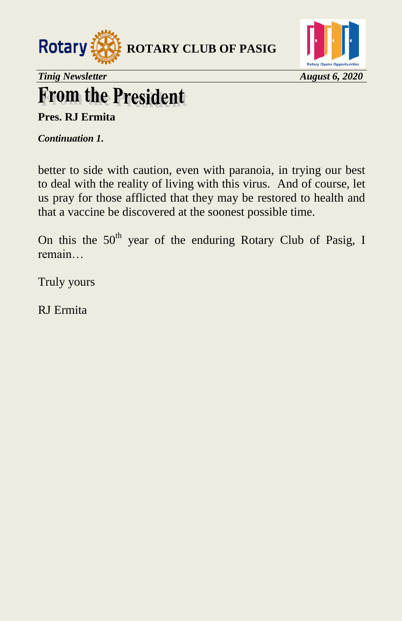



# **From the President**

**Pres. RJ Ermita**

*Continuation 1.* 

better to side with caution, even with paranoia, in trying our best to deal with the reality of living with this virus. And of course, let us pray for those afflicted that they may be restored to health and that a vaccine be discovered at the soonest possible time.

On this the  $50<sup>th</sup>$  year of the enduring Rotary Club of Pasig, I remain…

Truly yours

RJ Ermita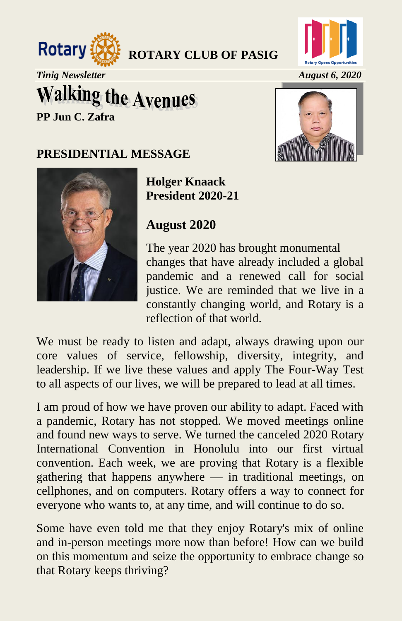



*Tinig Newsletter* August 6, 2020

**PP Jun C. Zafra**

## **PRESIDENTIAL MESSAGE**





**Holger Knaack President 2020-21**

**August 2020**

The year 2020 has brought monumental changes that have already included a global pandemic and a renewed call for social justice. We are reminded that we live in a constantly changing world, and Rotary is a reflection of that world.

We must be ready to listen and adapt, always drawing upon our core values of service, fellowship, diversity, integrity, and leadership. If we live these values and apply The Four-Way Test to all aspects of our lives, we will be prepared to lead at all times.

I am proud of how we have proven our ability to adapt. Faced with a pandemic, Rotary has not stopped. We moved meetings online and found new ways to serve. We turned the canceled 2020 Rotary International Convention in Honolulu into our first virtual convention. Each week, we are proving that Rotary is a flexible gathering that happens anywhere — in traditional meetings, on cellphones, and on computers. Rotary offers a way to connect for everyone who wants to, at any time, and will continue to do so.

Some have even told me that they enjoy Rotary's mix of online and in-person meetings more now than before! How can we build on this momentum and seize the opportunity to embrace change so that Rotary keeps thriving?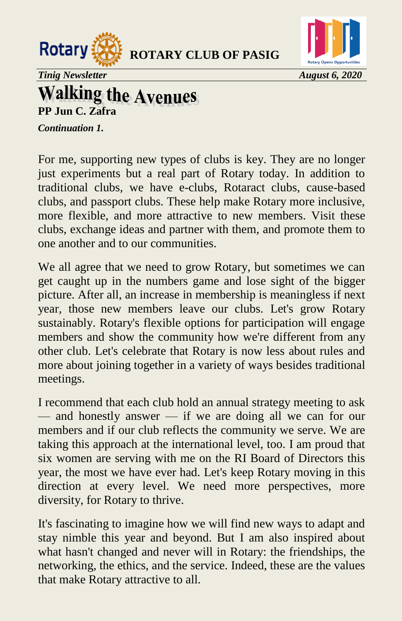



*Tinig Newsletter* August 6, 2020

## **Walking the Avenues PP Jun C. Zafra**

*Continuation 1.*

For me, supporting new types of clubs is key. They are no longer just experiments but a real part of Rotary today. In addition to traditional clubs, we have e-clubs, Rotaract clubs, cause-based clubs, and passport clubs. These help make Rotary more inclusive, more flexible, and more attractive to new members. Visit these clubs, exchange ideas and partner with them, and promote them to one another and to our communities.

We all agree that we need to grow Rotary, but sometimes we can get caught up in the numbers game and lose sight of the bigger picture. After all, an increase in membership is meaningless if next year, those new members leave our clubs. Let's grow Rotary sustainably. Rotary's flexible options for participation will engage members and show the community how we're different from any other club. Let's celebrate that Rotary is now less about rules and more about joining together in a variety of ways besides traditional meetings.

I recommend that each club hold an annual strategy meeting to ask — and honestly answer — if we are doing all we can for our members and if our club reflects the community we serve. We are taking this approach at the international level, too. I am proud that six women are serving with me on the RI Board of Directors this year, the most we have ever had. Let's keep Rotary moving in this direction at every level. We need more perspectives, more diversity, for Rotary to thrive.

It's fascinating to imagine how we will find new ways to adapt and stay nimble this year and beyond. But I am also inspired about what hasn't changed and never will in Rotary: the friendships, the networking, the ethics, and the service. Indeed, these are the values that make Rotary attractive to all.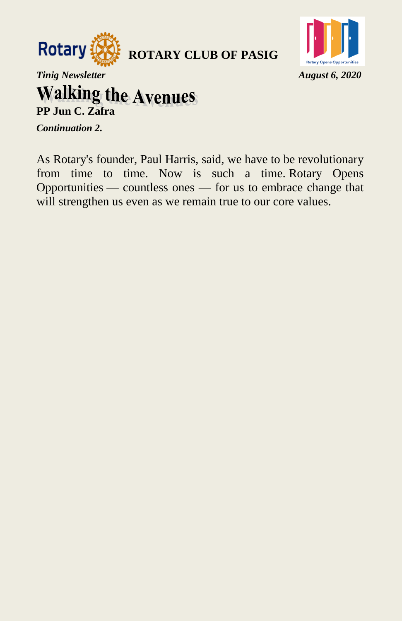



*Tinig Newsletter August 6, 2020*

# **Walking the Avenues**<br>PP Jun C. Zafra

*Continuation 2.*

As Rotary's founder, Paul Harris, said, we have to be revolutionary from time to time. Now is such a time. Rotary Opens Opportunities — countless ones — for us to embrace change that will strengthen us even as we remain true to our core values.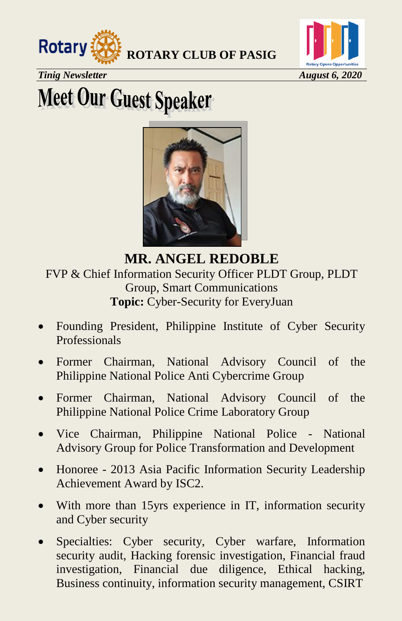



*Tinig Newsletter* August 6, 2020

# **Meet Our Guest Speaker**



**MR. ANGEL REDOBLE** FVP & Chief Information Security Officer PLDT Group, PLDT Group, Smart Communications **Topic:** Cyber-Security for EveryJuan

- Founding President, Philippine Institute of Cyber Security Professionals
- Former Chairman, National Advisory Council of the Philippine National Police Anti Cybercrime Group
- Former Chairman, National Advisory Council of the Philippine National Police Crime Laboratory Group
- Vice Chairman, Philippine National Police National Advisory Group for Police Transformation and Development
- Honoree 2013 Asia Pacific Information Security Leadership Achievement Award by ISC2.
- With more than 15yrs experience in IT, information security and Cyber security
- Specialties: Cyber security, Cyber warfare, Information security audit, Hacking forensic investigation, Financial fraud investigation, Financial due diligence, Ethical hacking, Business continuity, information security management, CSIRT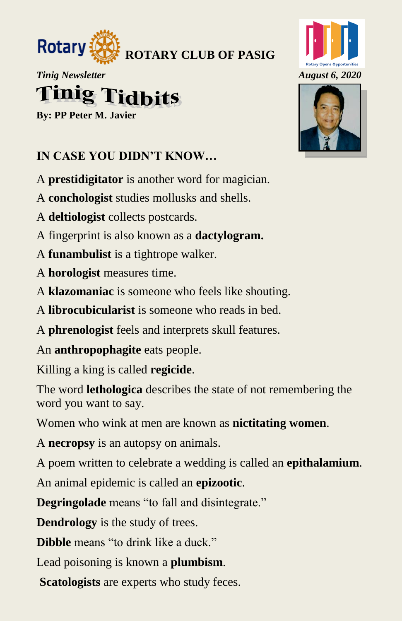



**Tinig Newsletter** August 6, 2020

### Tinig 7 l'idhits

**By: PP Peter M. Javier**

# **IN CASE YOU DIDN'T KNOW…**

- A **prestidigitator** is another word for magician.
- A **conchologist** studies mollusks and shells.
- A **deltiologist** collects postcards.
- A fingerprint is also known as a **dactylogram.**
- A **funambulist** is a tightrope walker.
- A **horologist** measures time.
- A **klazomaniac** is someone who feels like shouting.
- A **librocubicularist** is someone who reads in bed.
- A **phrenologist** feels and interprets skull features.
- An **anthropophagite** eats people.
- Killing a king is called **regicide**.
- The word **lethologica** describes the state of not remembering the word you want to say.
- Women who wink at men are known as **nictitating women**.
- A **necropsy** is an autopsy on animals.
- A poem written to celebrate a wedding is called an **epithalamium**.
- An animal epidemic is called an **epizootic**.
- **Degringolade** means "to fall and disintegrate."
- **Dendrology** is the study of trees.
- **Dibble** means "to drink like a duck."
- Lead poisoning is known a **plumbism**.
- **Scatologists** are experts who study feces.

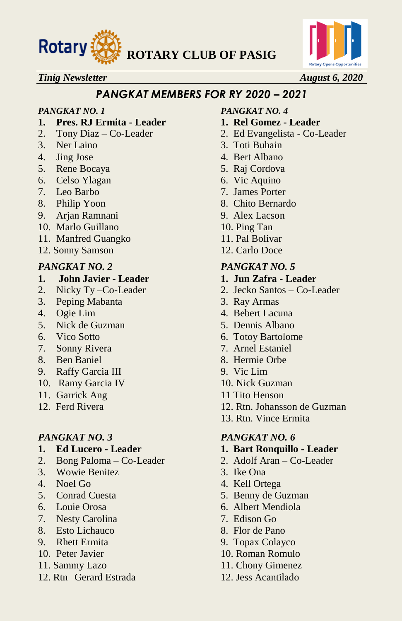



## *PANGKAT MEMBERS FOR RY 2020 – 2021*

- **1. Pres. RJ Ermita - Leader 1. Rel Gomez - Leader**
- 
- 
- 
- 5. Rene Bocaya 5. Raj Cordova
- 6. Celso Ylagan 6. Vic Aquino
- 
- 
- 9. Arjan Ramnani 9. Alex Lacson
- 10. Marlo Guillano 10. Ping Tan
- 11. Manfred Guangko 11. Pal Bolivar
- 12. Sonny Samson 12. Carlo Doce

### *PANGKAT NO. 2 PANGKAT NO. 5*

- **1. John Javier Leader**<br> **2.** Nicky Ty Co-Leader<br> **2.** Jecko Santos Co-L
- 
- 3. Peping Mabanta 3. Ray Armas
- 
- 5. Nick de Guzman 5. Dennis Albano
- 
- 7. Sonny Rivera 7. Arnel Estaniel
- 8. Ben Baniel 8. Hermie Orbe
- 9. Raffy Garcia III 9. Vic Lim
- 10. Ramy Garcia IV 10. Nick Guzman
- 
- 

- **1. Ed Lucero - Leader 1. Bart Ronquillo - Leader**
- 2. Bong Paloma Co-Leader 2. Adolf Aran Co-Leader
- 3. Wowie Benitez 3. Ike Ona
- 
- 
- 
- 7. Nesty Carolina 7. Edison Go
- 8. Esto Lichauco 8. Flor de Pano
- 
- 
- 
- 12. Rtn Gerard Estrada 12. Jess Acantilado

#### *PANGKAT NO. 1 PANGKAT NO. 4*

- 
- 2. Tony Diaz Co-Leader 2. Ed Evangelista Co-Leader
- 3. Ner Laino 3. Toti Buhain
- 4. Jing Jose 4. Bert Albano
	-
	-
- 7. Leo Barbo 7. James Porter
- 8. Philip Yoon 8. Chito Bernardo
	-
	-
	-
	-

- 
- 2. Nicky Ty –Co-Leader 2. Jecko Santos Co-Leader
	-
- 4. Ogie Lim 4. Bebert Lacuna
	-
- 6. Vico Sotto 6. Totoy Bartolome
	-
	-
	-
	-
- 11. Garrick Ang 11 Tito Henson
- 12. Ferd Rivera 12. Rtn. Johansson de Guzman
	- 13. Rtn. Vince Ermita

### *PANGKAT NO. 3 PANGKAT NO. 6*

- 
- 
- 
- 4. Noel Go 4. Kell Ortega
- 5. Conrad Cuesta 5. Benny de Guzman
- 6. Louie Orosa 6. Albert Mendiola
	-
	-
- 9. Rhett Ermita 9. Topax Colayco
- 10. Peter Javier 10. Roman Romulo
- 11. Sammy Lazo 11. Chony Gimenez
	-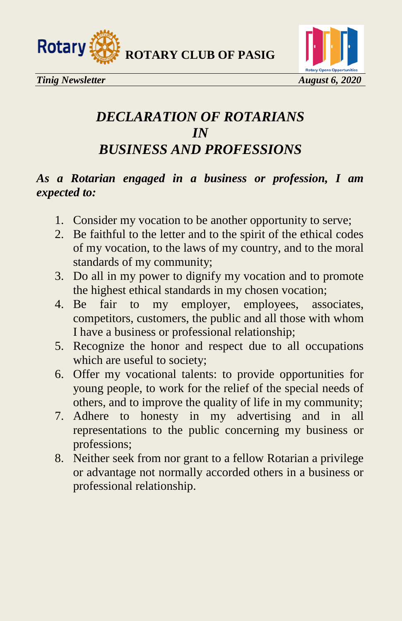



# *DECLARATION OF ROTARIANS IN BUSINESS AND PROFESSIONS*

## *As a Rotarian engaged in a business or profession, I am expected to:*

- 1. Consider my vocation to be another opportunity to serve;
- 2. Be faithful to the letter and to the spirit of the ethical codes of my vocation, to the laws of my country, and to the moral standards of my community;
- 3. Do all in my power to dignify my vocation and to promote the highest ethical standards in my chosen vocation;
- 4. Be fair to my employer, employees, associates, competitors, customers, the public and all those with whom I have a business or professional relationship;
- 5. Recognize the honor and respect due to all occupations which are useful to society;
- 6. Offer my vocational talents: to provide opportunities for young people, to work for the relief of the special needs of others, and to improve the quality of life in my community;
- 7. Adhere to honesty in my advertising and in all representations to the public concerning my business or professions;
- 8. Neither seek from nor grant to a fellow Rotarian a privilege or advantage not normally accorded others in a business or professional relationship.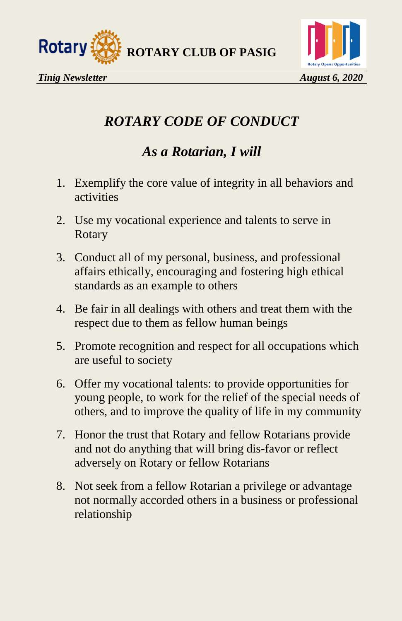



# *ROTARY CODE OF CONDUCT*

# *As a Rotarian, I will*

- 1. Exemplify the core value of integrity in all behaviors and activities
- 2. Use my vocational experience and talents to serve in Rotary
- 3. Conduct all of my personal, business, and professional affairs ethically, encouraging and fostering high ethical standards as an example to others
- 4. Be fair in all dealings with others and treat them with the respect due to them as fellow human beings
- 5. Promote recognition and respect for all occupations which are useful to society
- 6. Offer my vocational talents: to provide opportunities for young people, to work for the relief of the special needs of others, and to improve the quality of life in my community
- 7. Honor the trust that Rotary and fellow Rotarians provide and not do anything that will bring dis-favor or reflect adversely on Rotary or fellow Rotarians
- 8. Not seek from a fellow Rotarian a privilege or advantage not normally accorded others in a business or professional relationship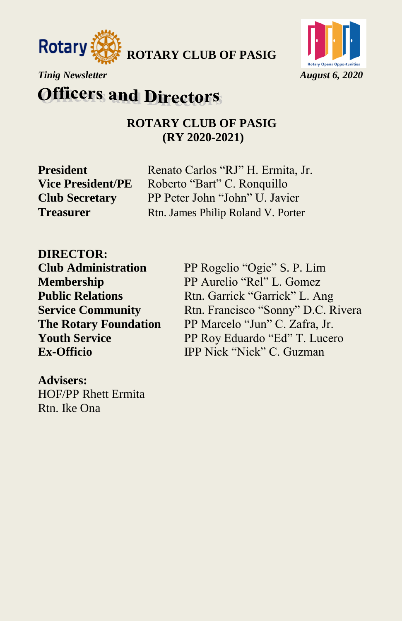





# **Officers and Directors**

**ROTARY CLUB OF PASIG (RY 2020-2021)**

**President** Renato Carlos "RJ" H. Ermita, Jr. **Vice President/PE** Roberto "Bart" C. Ronquillo **Club Secretary** PP Peter John "John" U. Javier **Treasurer** Rtn. James Philip Roland V. Porter

**DIRECTOR: Club Administration** PP Rogelio "Ogie" S. P. Lim

**Membership** PP Aurelio "Rel" L. Gomez **Public Relations** Rtn. Garrick "Garrick" L. Ang **Service Community** Rtn. Francisco "Sonny" D.C. Rivera **The Rotary Foundation** PP Marcelo "Jun" C. Zafra, Jr.<br> **Youth Service** PP Rov Eduardo "Ed" T. Luce **PP Roy Eduardo "Ed" T. Lucero Ex-Officio IPP Nick "Nick" C. Guzman** 

**Advisers:** HOF/PP Rhett Ermita Rtn. Ike Ona